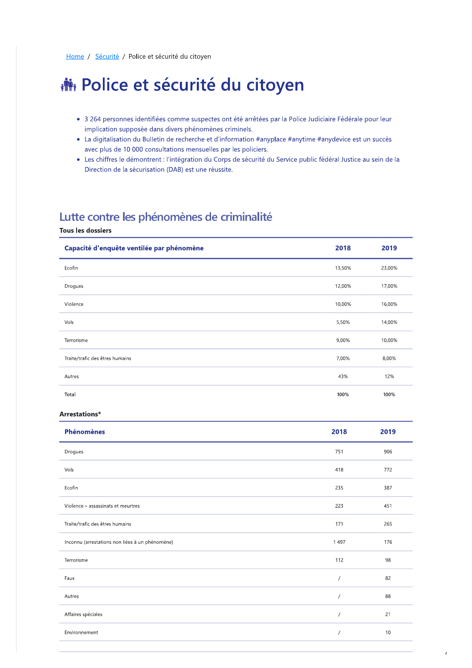# **静 Police et sécurité du citoyen**

- 3 264 personnes identifiées comme suspectes ont été arrêtées par la Police Judiciaire Fédérale pour leur implication supposée dans divers phénomènes criminels.
- La digitalisation du Bulletin de recherche et d'information #anyplace #anytime #anydevice est un succès avec plus de 10 000 consultations mensuelles par les policiers.
- · Les chiffres le démontrent : l'intégration du Corps de sécurité du Service public fédéral Justice au sein de la Direction de la sécurisation (DAB) est une réussite.

# Lutte contre les phénomènes de criminalité

### **Tous les dossiers**

| Capacité d'enquête ventilée par phénomène | 2018   | 2019   |
|-------------------------------------------|--------|--------|
| Ecofin                                    | 13,50% | 23,00% |
| Drogues                                   | 12,00% | 17,00% |
| Violence                                  | 10,00% | 16,00% |
| Vols                                      | 5,50%  | 14,00% |
| Terrorisme                                | 9,00%  | 10,00% |
| Traite/trafic des êtres humains           | 7,00%  | 8,00%  |
| Autres                                    | 43%    | 12%    |
| Total                                     | 100%   | 100%   |

#### Arrestations\*

| <b>Phénomènes</b>                               | 2018       | 2019 |
|-------------------------------------------------|------------|------|
| Drogues                                         | 751        | 906  |
| Vols                                            | 418        | 772  |
| Ecofin                                          | 235        | 387  |
| Violence - assassinats et meurtres              | 223        | 451  |
| Traite/trafic des êtres humains                 | 171        | 265  |
| Inconnu (arrestations non liées à un phénomène) | 1497       | 176  |
| Terrorisme                                      | 112        | 98   |
| Faux                                            | $\sqrt{2}$ | 82   |
| Autres                                          | $\prime$   | 88   |
| Affaires spéciales                              | $\prime$   | 21   |
| Environnement                                   | $\prime$   | $10$ |
|                                                 |            |      |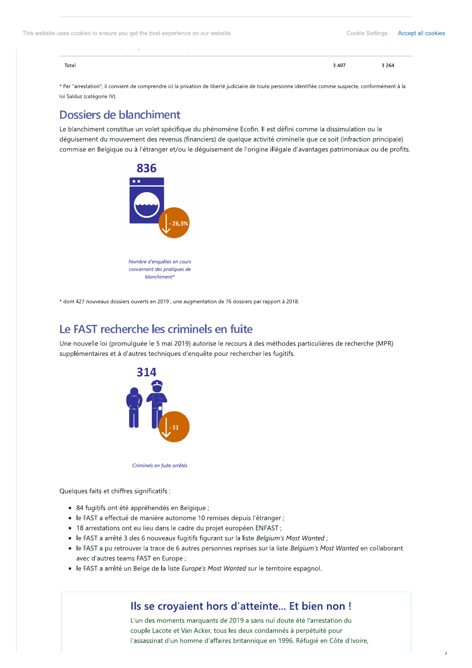| Total |  | 3 4 0 7 | $^{\circ}$ 264 |
|-------|--|---------|----------------|
|       |  |         |                |
|       |  |         |                |

\* Par "arrestation", il convient de comprendre ici la privation de liberté judiciaire de toute personne identifiée comme suspecte, conformément à la loi Salduz (catégorie IV).

# Dossiers de blanchiment

Le blanchiment constitue un volet spécifique du phénomène Ecofin. Il est défini comme la dissimulation ou le déquisement du mouvement des revenus (financiers) de quelque activité criminelle que ce soit (infraction principale) commise en Belgique ou à l'étranger et/ou le déguisement de l'origine illégale d'avantages patrimoniaux ou de profits.



\* dont 427 nouveaux dossiers ouverts en 2019 ; une augmentation de 76 dossiers par rapport à 2018.

# Le FAST recherche les criminels en fuite

Une nouvelle loi (promulquée le 5 mai 2019) autorise le recours à des méthodes particulières de recherche (MPR) supplémentaires et à d'autres techniques d'enquête pour rechercher les fugitifs.



Criminels en fuite arrêtés

Quelques faits et chiffres significatifs :

- 84 fugitifs ont été appréhendés en Belgique ;
- · le FAST a effectué de manière autonome 10 remises depuis l'étranger ;
- 18 arrestations ont eu lieu dans le cadre du projet européen ENFAST ;
- le FAST a arrêté 3 des 6 nouveaux fugitifs figurant sur la liste Belgium's Most Wanted;
- le FAST a pu retrouver la trace de 6 autres personnes reprises sur la liste Belgium's Most Wanted en collaborant avec d'autres teams FAST en Europe ;
- · le FAST a arrêté un Belge de la liste Europe's Most Wanted sur le territoire espagnol.

### Ils se croyaient hors d'atteinte... Et bien non !

L'un des moments marquants de 2019 a sans nul doute été l'arrestation du couple Lacote et Van Acker, tous les deux condamnés à perpétuité pour l'assassinat d'un homme d'affaires britannique en 1996. Réfugié en Côte d'Ivoire,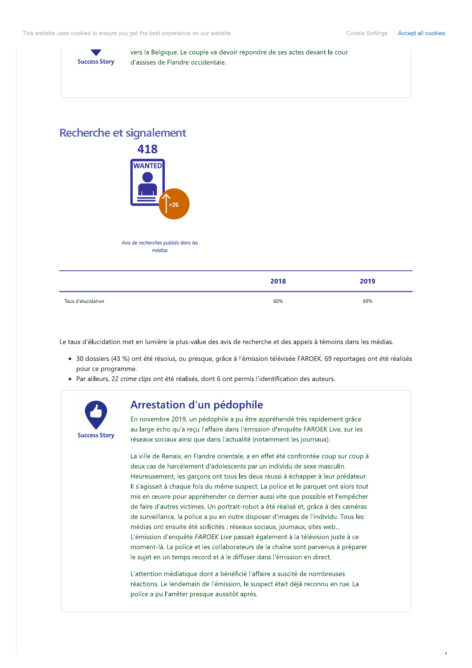Cookie Settings Accept all cookies



vers la Belgique. Le couple va devoir répondre de ses actes devant la cour d'assises de Flandre occidentale.

### Recherche et signalement



Avis de recherches publiés dans les médias

|                    | 2018 | 2019 |
|--------------------|------|------|
| Taux d'élucidation | 60%  | 69%  |

Le taux d'élucidation met en lumière la plus-value des avis de recherche et des appels à témoins dans les médias.

- · 30 dossiers (43 %) ont été résolus, ou presque, grâce à l'émission télévisée FAROEK. 69 reportages ont été réalisés pour ce programme.
- · Par ailleurs, 22 crime clips ont été réalisés, dont 6 ont permis l'identification des auteurs.



### Arrestation d'un pédophile

En novembre 2019, un pédophile a pu être appréhendé très rapidement grâce au large écho qu'a reçu l'affaire dans l'émission d'enquête FAROEK Live, sur les réseaux sociaux ainsi que dans l'actualité (notamment les journaux).

La ville de Renaix, en Flandre orientale, a en effet été confrontée coup sur coup à deux cas de harcèlement d'adolescents par un individu de sexe masculin. Heureusement, les garçons ont tous les deux réussi à échapper à leur prédateur. Il s'agissait à chaque fois du même suspect. La police et le parquet ont alors tout mis en œuvre pour appréhender ce dernier aussi vite que possible et l'empêcher de faire d'autres victimes. Un portrait-robot a été réalisé et, grâce à des caméras de surveillance, la police a pu en outre disposer d'images de l'individu. Tous les médias ont ensuite été sollicités : réseaux sociaux, journaux, sites web... L'émission d'enquête FAROEK Live passait également à la télévision juste à ce moment-là. La police et les collaborateurs de la chaîne sont parvenus à préparer le sujet en un temps record et à le diffuser dans l'émission en direct.

L'attention médiatique dont a bénéficié l'affaire a suscité de nombreuses réactions. Le lendemain de l'émission, le suspect était déjà reconnu en rue. La police a pu l'arrêter presque aussitôt après.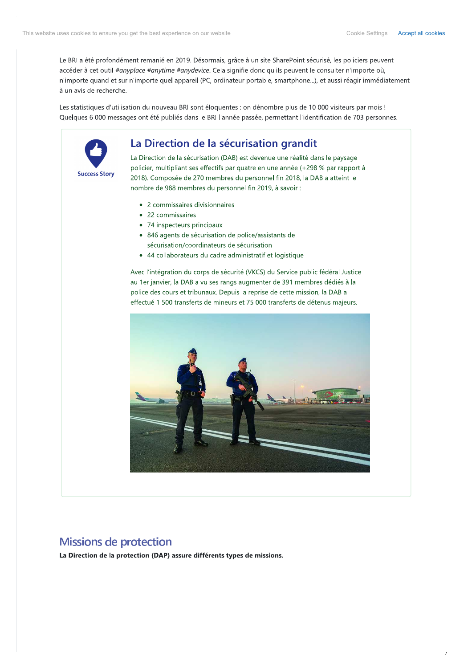Le BRI a été profondément remanié en 2019. Désormais, grâce à un site SharePoint sécurisé, les policiers peuvent accéder à cet outil #anyplace #anytime #anydevice. Cela signifie donc qu'ils peuvent le consulter n'importe où, n'importe quand et sur n'importe quel appareil (PC, ordinateur portable, smartphone...), et aussi réagir immédiatement à un avis de recherche.

Les statistiques d'utilisation du nouveau BRI sont éloquentes : on dénombre plus de 10 000 visiteurs par mois ! Quelques 6 000 messages ont été publiés dans le BRI l'année passée, permettant l'identification de 703 personnes.



### La Direction de la sécurisation grandit

La Direction de la sécurisation (DAB) est devenue une réalité dans le paysage policier, multipliant ses effectifs par quatre en une année (+298 % par rapport à 2018). Composée de 270 membres du personnel fin 2018, la DAB a atteint le nombre de 988 membres du personnel fin 2019, à savoir :

- 2 commissaires divisionnaires
- 22 commissaires
- 74 inspecteurs principaux
- 846 agents de sécurisation de police/assistants de sécurisation/coordinateurs de sécurisation
- 44 collaborateurs du cadre administratif et logistique

Avec l'intégration du corps de sécurité (VKCS) du Service public fédéral Justice au 1er janvier, la DAB a vu ses rangs augmenter de 391 membres dédiés à la police des cours et tribunaux. Depuis la reprise de cette mission, la DAB a effectué 1 500 transferts de mineurs et 75 000 transferts de détenus majeurs.



### **Missions de protection**

La Direction de la protection (DAP) assure différents types de missions.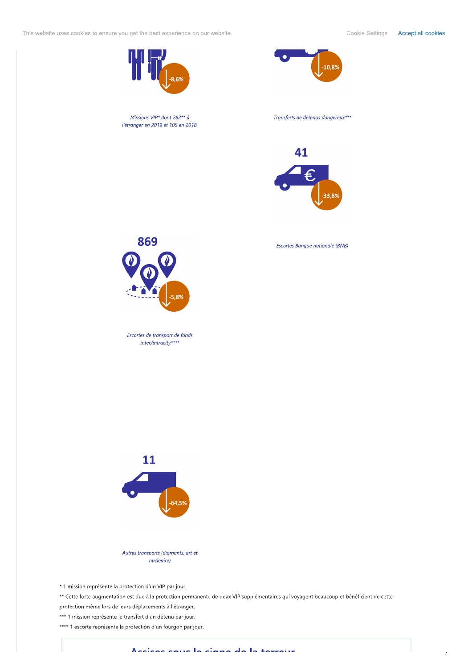This website uses cookies to ensure you get the best experience on our website. This website settings Accept all cookies



 $\bullet$ 



869 CAN CONSIDER SECTIONS CONSIDER THE CONSIDER SECTION OF SECTION AND MANUSOR CONSIDER SECTION AND MANUSOR CONSIDER SECTION AND MANUSOR CONSIDER SECTION AND MANUSOR CONSIDER SECTION AND MANUSOR CONSIDER SECTION AND MANUSOR CO



\* 1 mission représente la protection d'un VIP par jour.

\*\* Cette forte augmentation est due a la protection permanente de deux VIP supplementaires qui voyagent beaucoup et beneficient de cette protection meme lors de leurs deplacements à l'etranger.

\*\*\* 1 mission représente le transfert d'un détenu par jour.

\*\*\*\* I escorte represente la protection d'un fourgon par jour.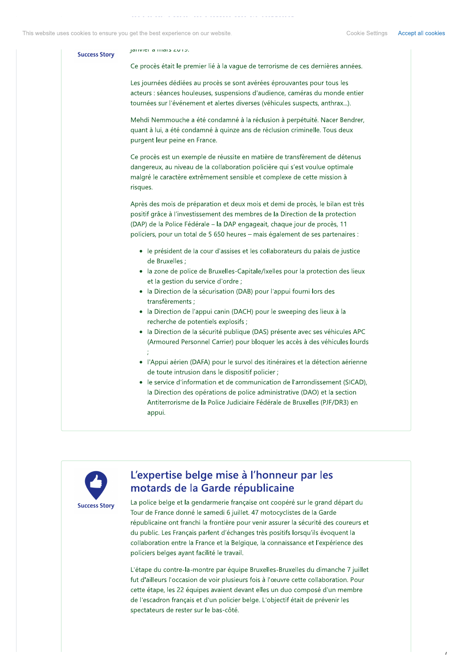#### $parical area  $2013$ .$ **Success Story**

Ce procès était le premier lié à la vaque de terrorisme de ces dernières années.

Les journées dédiées au procès se sont avérées éprouvantes pour tous les acteurs : séances houleuses, suspensions d'audience, caméras du monde entier tournées sur l'événement et alertes diverses (véhicules suspects, anthrax...).

Mehdi Nemmouche a été condamné à la réclusion à perpétuité. Nacer Bendrer, quant à lui, a été condamné à quinze ans de réclusion criminelle. Tous deux purgent leur peine en France.

Ce procès est un exemple de réussite en matière de transfèrement de détenus dangereux, au niveau de la collaboration policière qui s'est voulue optimale malgré le caractère extrêmement sensible et complexe de cette mission à risques.

Après des mois de préparation et deux mois et demi de procès, le bilan est très positif grâce à l'investissement des membres de la Direction de la protection (DAP) de la Police Fédérale – la DAP engageait, chaque jour de procès, 11 policiers, pour un total de 5 650 heures - mais également de ses partenaires :

- · le président de la cour d'assises et les collaborateurs du palais de justice de Bruxelles ;
- · la zone de police de Bruxelles-Capitale/Ixelles pour la protection des lieux et la gestion du service d'ordre ;
- · la Direction de la sécurisation (DAB) pour l'appui fourni lors des transfèrements ;
- la Direction de l'appui canin (DACH) pour le sweeping des lieux à la recherche de potentiels explosifs ;
- · la Direction de la sécurité publique (DAS) présente avec ses véhicules APC (Armoured Personnel Carrier) pour bloquer les accès à des véhicules lourds
- · l'Appui aérien (DAFA) pour le survol des itinéraires et la détection aérienne de toute intrusion dans le dispositif policier :
- le service d'information et de communication de l'arrondissement (SICAD), la Direction des opérations de police administrative (DAO) et la section Antiterrorisme de la Police Judiciaire Fédérale de Bruxelles (PJF/DR3) en appui.



# L'expertise belge mise à l'honneur par les motards de la Garde républicaine

La police belge et la gendarmerie française ont coopéré sur le grand départ du Tour de France donné le samedi 6 juillet. 47 motocyclistes de la Garde républicaine ont franchi la frontière pour venir assurer la sécurité des coureurs et du public. Les Français parlent d'échanges très positifs lorsqu'ils évoquent la collaboration entre la France et la Belgique, la connaissance et l'expérience des policiers belges ayant facilité le travail.

L'étape du contre-la-montre par équipe Bruxelles-Bruxelles du dimanche 7 juillet fut d'ailleurs l'occasion de voir plusieurs fois à l'œuvre cette collaboration. Pour cette étape, les 22 équipes avaient devant elles un duo composé d'un membre de l'escadron français et d'un policier belge. L'objectif était de prévenir les spectateurs de rester sur le bas-côté.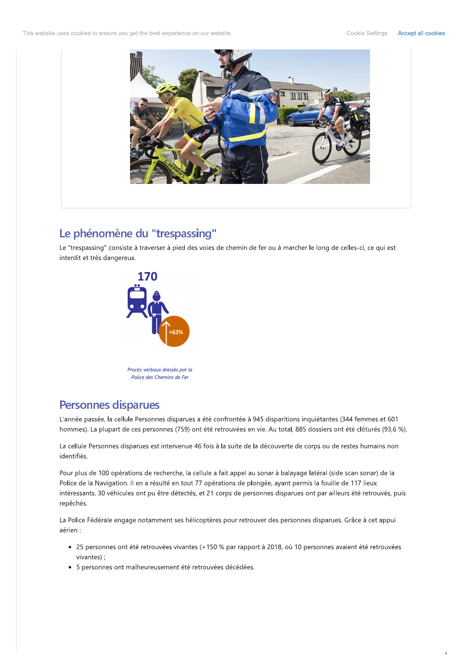Cookie Settings Accept all cookies



# Le phénomène du "trespassing"

Le "trespassing" consiste à traverser à pied des voies de chemin de fer ou à marcher le long de celles-ci, ce qui est interdit et très dangereux.



### **Personnes disparues**

L'année passée, la cellule Personnes disparues a été confrontée à 945 disparitions inquiétantes (344 femmes et 601 hommes). La plupart de ces personnes (759) ont été retrouvées en vie. Au total, 885 dossiers ont été clôturés (93,6 %).

La cellule Personnes disparues est intervenue 46 fois à la suite de la découverte de corps ou de restes humains non identifiés.

Pour plus de 100 opérations de recherche, la cellule a fait appel au sonar à balayage latéral (side scan sonar) de la Police de la Navigation. Il en a résulté en tout 77 opérations de plongée, ayant permis la fouille de 117 lieux intéressants. 30 véhicules ont pu être détectés, et 21 corps de personnes disparues ont par ailleurs été retrouvés, puis repêchés.

La Police Fédérale engage notamment ses hélicoptères pour retrouver des personnes disparues. Grâce à cet appui aérien :

- 25 personnes ont été retrouvées vivantes (+150 % par rapport à 2018, où 10 personnes avaient été retrouvées vivantes) ;
- 5 personnes ont malheureusement été retrouvées décédées.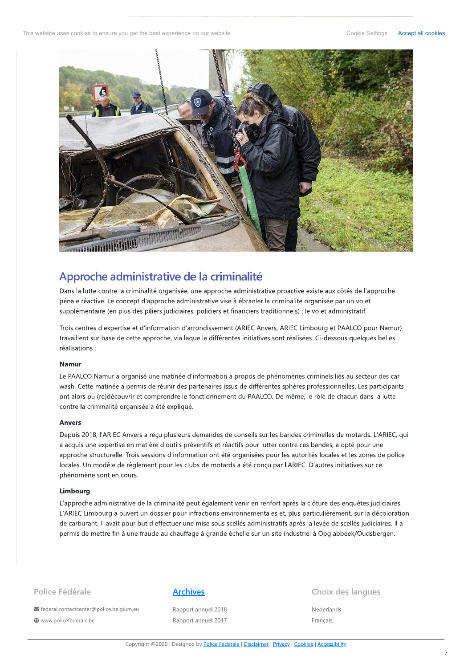

# Approche administrative de la criminalité

Dans la lutte contre la criminalité organisée, une approche administrative proactive existe aux côtés de l'approche pénale réactive. Le concept d'approche administrative vise à ébranler la criminalité organisée par un volet supplémentaire (en plus des piliers judiciaires, policiers et financiers traditionnels) : le volet administratif.

Trois centres d'expertise et d'information d'arrondissement (ARIEC Anvers, ARIEC Limbourg et PAALCO pour Namur) travaillent sur base de cette approche, via laquelle différentes initiatives sont réalisées. Ci-dessous quelques belles réalisations :

### **Namur**

Le PAALCO Namur a organisé une matinée d'information à propos de phénomènes criminels liés au secteur des car wash. Cette matinée a permis de réunir des partenaires issus de différentes sphères professionnelles. Les participants ont alors pu (re)découvrir et comprendre le fonctionnement du PAALCO. De même, le rôle de chacun dans la lutte contre la criminalité organisée a été expliqué.

#### **Anvers**

Depuis 2018, l'ARIEC Anvers a reçu plusieurs demandes de conseils sur les bandes criminelles de motards. L'ARIEC, qui a acquis une expertise en matière d'outils préventifs et réactifs pour lutter contre ces bandes, a opté pour une approche structurelle. Trois sessions d'information ont été organisées pour les autorités locales et les zones de police locales. Un modèle de règlement pour les clubs de motards a été conçu par l'ARIEC. D'autres initiatives sur ce phénomène sont en cours.

#### Limbourg

L'approche administrative de la criminalité peut également venir en renfort après la clôture des enquêtes judiciaires. L'ARIEC Limbourg a ouvert un dossier pour infractions environnementales et, plus particulièrement, sur la décoloration de carburant. Il avait pour but d'effectuer une mise sous scellés administratifs après la levée de scellés judiciaires. Il a permis de mettre fin à une fraude au chauffage à grande échelle sur un site industriel à Opglabbeek/Oudsbergen.

### Police Fédérale

び federal.contactcenter@police.belgium.eu www.policefederale.be

#### **Archives**

Rapport annuel 2018 Rapport annuel 2017

#### Choix des langues

Nederlands Français